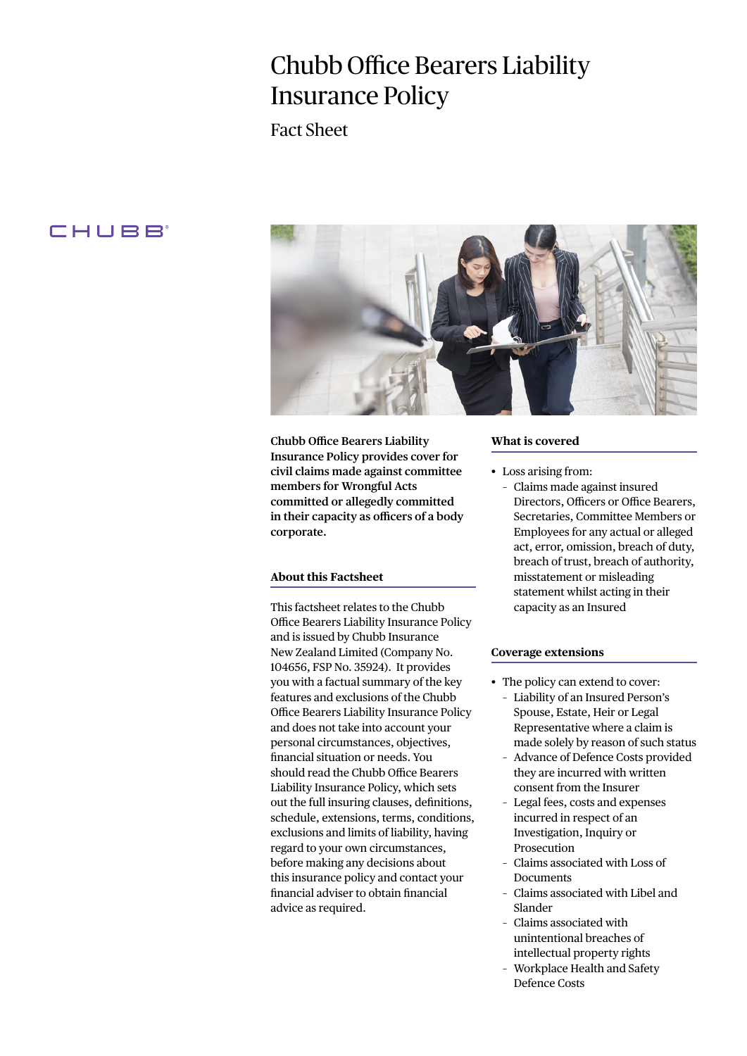# Chubb Office Bearers Liability Insurance Policy

Fact Sheet

# CHUBB



**Chubb Office Bearers Liability Insurance Policy provides cover for civil claims made against committee members for Wrongful Acts committed or allegedly committed in their capacity as officers of a body corporate.** 

# **About this Factsheet**

This factsheet relates to the Chubb Office Bearers Liability Insurance Policy and is issued by Chubb Insurance New Zealand Limited (Company No. 104656, FSP No. 35924). It provides you with a factual summary of the key features and exclusions of the Chubb Office Bearers Liability Insurance Policy and does not take into account your personal circumstances, objectives, financial situation or needs. You should read the Chubb Office Bearers Liability Insurance Policy, which sets out the full insuring clauses, definitions, schedule, extensions, terms, conditions, exclusions and limits of liability, having regard to your own circumstances, before making any decisions about this insurance policy and contact your financial adviser to obtain financial advice as required.

#### **What is covered**

- Loss arising from:
	- Claims made against insured Directors, Officers or Office Bearers, Secretaries, Committee Members or Employees for any actual or alleged act, error, omission, breach of duty, breach of trust, breach of authority, misstatement or misleading statement whilst acting in their capacity as an Insured

## **Coverage extensions**

- The policy can extend to cover: – Liability of an Insured Person's Spouse, Estate, Heir or Legal Representative where a claim is made solely by reason of such status
	- Advance of Defence Costs provided they are incurred with written consent from the Insurer
	- Legal fees, costs and expenses incurred in respect of an Investigation, Inquiry or Prosecution
	- Claims associated with Loss of Documents
	- Claims associated with Libel and Slander
	- Claims associated with unintentional breaches of intellectual property rights
	- Workplace Health and Safety Defence Costs